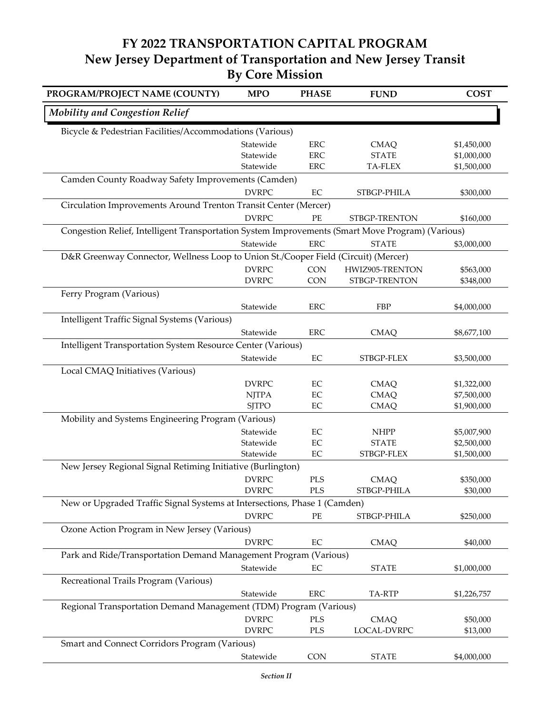## **FY 2022 TRANSPORTATION CAPITAL PROGRAM New Jersey Department of Transportation and New Jersey Transit By Core Mission**

| PROGRAM/PROJECT NAME (COUNTY)                                                                    | <b>MPO</b>   | <b>PHASE</b> | <b>FUND</b>     | <b>COST</b> |  |  |
|--------------------------------------------------------------------------------------------------|--------------|--------------|-----------------|-------------|--|--|
| <b>Mobility and Congestion Relief</b>                                                            |              |              |                 |             |  |  |
| Bicycle & Pedestrian Facilities/Accommodations (Various)                                         |              |              |                 |             |  |  |
|                                                                                                  | Statewide    | <b>ERC</b>   | <b>CMAQ</b>     | \$1,450,000 |  |  |
|                                                                                                  | Statewide    | <b>ERC</b>   | <b>STATE</b>    | \$1,000,000 |  |  |
|                                                                                                  | Statewide    | <b>ERC</b>   | <b>TA-FLEX</b>  | \$1,500,000 |  |  |
| Camden County Roadway Safety Improvements (Camden)                                               |              |              |                 |             |  |  |
|                                                                                                  | <b>DVRPC</b> | $\rm EC$     | STBGP-PHILA     | \$300,000   |  |  |
| Circulation Improvements Around Trenton Transit Center (Mercer)                                  |              |              |                 |             |  |  |
|                                                                                                  | <b>DVRPC</b> | PE           | STBGP-TRENTON   | \$160,000   |  |  |
| Congestion Relief, Intelligent Transportation System Improvements (Smart Move Program) (Various) |              |              |                 |             |  |  |
|                                                                                                  | Statewide    | <b>ERC</b>   | <b>STATE</b>    | \$3,000,000 |  |  |
| D&R Greenway Connector, Wellness Loop to Union St./Cooper Field (Circuit) (Mercer)               |              |              |                 |             |  |  |
|                                                                                                  | <b>DVRPC</b> | <b>CON</b>   | HWIZ905-TRENTON | \$563,000   |  |  |
|                                                                                                  | <b>DVRPC</b> | <b>CON</b>   | STBGP-TRENTON   | \$348,000   |  |  |
| Ferry Program (Various)                                                                          |              |              |                 |             |  |  |
|                                                                                                  | Statewide    | <b>ERC</b>   | FBP             | \$4,000,000 |  |  |
| Intelligent Traffic Signal Systems (Various)                                                     |              |              |                 |             |  |  |
|                                                                                                  | Statewide    | <b>ERC</b>   | <b>CMAQ</b>     | \$8,677,100 |  |  |
| Intelligent Transportation System Resource Center (Various)                                      |              |              |                 |             |  |  |
|                                                                                                  |              |              |                 |             |  |  |
|                                                                                                  | Statewide    | EC           | STBGP-FLEX      | \$3,500,000 |  |  |
| Local CMAQ Initiatives (Various)                                                                 |              |              |                 |             |  |  |
|                                                                                                  | <b>DVRPC</b> | EC           | <b>CMAQ</b>     | \$1,322,000 |  |  |
|                                                                                                  | <b>NJTPA</b> | $\rm EC$     | <b>CMAQ</b>     | \$7,500,000 |  |  |
|                                                                                                  | <b>SJTPO</b> | $\rm EC$     | <b>CMAQ</b>     | \$1,900,000 |  |  |
| Mobility and Systems Engineering Program (Various)                                               |              |              |                 |             |  |  |
|                                                                                                  | Statewide    | EC           | <b>NHPP</b>     | \$5,007,900 |  |  |
|                                                                                                  | Statewide    | $\rm EC$     | <b>STATE</b>    | \$2,500,000 |  |  |
|                                                                                                  | Statewide    | EC           | STBGP-FLEX      | \$1,500,000 |  |  |
| New Jersey Regional Signal Retiming Initiative (Burlington)                                      |              |              |                 |             |  |  |
|                                                                                                  | <b>DVRPC</b> | PLS          | <b>CMAQ</b>     | \$350,000   |  |  |
|                                                                                                  | <b>DVRPC</b> | <b>PLS</b>   | STBGP-PHILA     | \$30,000    |  |  |
| New or Upgraded Traffic Signal Systems at Intersections, Phase 1 (Camden)                        |              |              |                 |             |  |  |
|                                                                                                  | <b>DVRPC</b> | PE           | STBGP-PHILA     | \$250,000   |  |  |
| Ozone Action Program in New Jersey (Various)                                                     |              |              |                 |             |  |  |
|                                                                                                  | <b>DVRPC</b> | $\rm EC$     | <b>CMAQ</b>     | \$40,000    |  |  |
| Park and Ride/Transportation Demand Management Program (Various)                                 |              |              |                 |             |  |  |
|                                                                                                  | Statewide    | $\rm EC$     | <b>STATE</b>    | \$1,000,000 |  |  |
| Recreational Trails Program (Various)                                                            |              |              |                 |             |  |  |
|                                                                                                  | Statewide    | ERC          | TA-RTP          | \$1,226,757 |  |  |
| Regional Transportation Demand Management (TDM) Program (Various)                                |              |              |                 |             |  |  |
|                                                                                                  | <b>DVRPC</b> | PLS          | <b>CMAQ</b>     | \$50,000    |  |  |
|                                                                                                  | <b>DVRPC</b> | PLS          | LOCAL-DVRPC     | \$13,000    |  |  |
| Smart and Connect Corridors Program (Various)                                                    |              |              |                 |             |  |  |
|                                                                                                  | Statewide    | CON          | <b>STATE</b>    | \$4,000,000 |  |  |
|                                                                                                  |              |              |                 |             |  |  |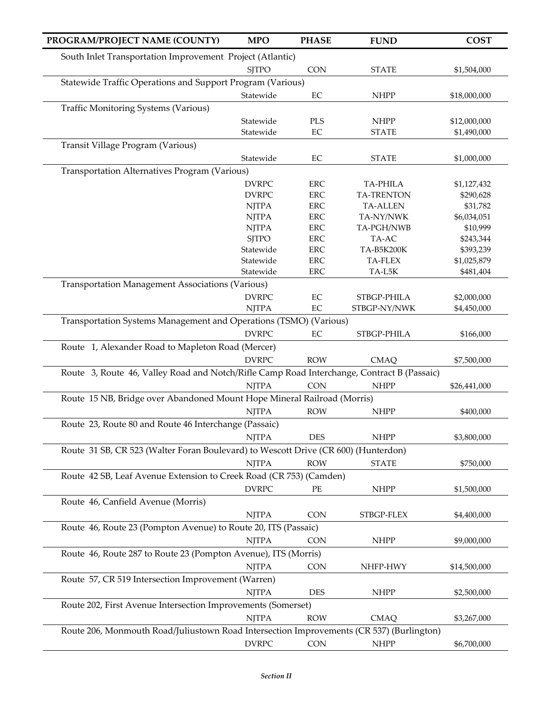| PROGRAM/PROJECT NAME (COUNTY)                                                              | <b>MPO</b>                   | <b>PHASE</b>               | <b>FUND</b>                          | <b>COST</b>             |
|--------------------------------------------------------------------------------------------|------------------------------|----------------------------|--------------------------------------|-------------------------|
| South Inlet Transportation Improvement Project (Atlantic)                                  |                              |                            |                                      |                         |
|                                                                                            | <b>SJTPO</b>                 | <b>CON</b>                 | <b>STATE</b>                         | \$1,504,000             |
| Statewide Traffic Operations and Support Program (Various)                                 |                              |                            |                                      |                         |
|                                                                                            | Statewide                    | EC                         | <b>NHPP</b>                          | \$18,000,000            |
| <b>Traffic Monitoring Systems (Various)</b>                                                |                              |                            |                                      |                         |
|                                                                                            |                              |                            |                                      |                         |
|                                                                                            | Statewide<br>Statewide       | PLS<br>$\rm EC$            | <b>NHPP</b><br><b>STATE</b>          | \$12,000,000            |
| Transit Village Program (Various)                                                          |                              |                            |                                      | \$1,490,000             |
|                                                                                            |                              |                            |                                      |                         |
|                                                                                            | Statewide                    | EC                         | <b>STATE</b>                         | \$1,000,000             |
| Transportation Alternatives Program (Various)                                              |                              |                            |                                      |                         |
|                                                                                            | <b>DVRPC</b>                 | ${\rm ERC}$                | TA-PHILA                             | \$1,127,432             |
|                                                                                            | <b>DVRPC</b>                 | ERC<br>${\rm ERC}$         | <b>TA-TRENTON</b><br><b>TA-ALLEN</b> | \$290,628               |
|                                                                                            | <b>NJTPA</b><br><b>NJTPA</b> |                            |                                      | \$31,782                |
|                                                                                            | <b>NJTPA</b>                 | ${\rm ERC}$<br>${\rm ERC}$ | TA-NY/NWK<br>TA-PGH/NWB              | \$6,034,051<br>\$10,999 |
|                                                                                            | <b>SJTPO</b>                 | ERC                        | TA-AC                                | \$243,344               |
|                                                                                            | Statewide                    | ERC                        | TA-B5K200K                           | \$393,239               |
|                                                                                            | Statewide                    | ERC                        | TA-FLEX                              | \$1,025,879             |
|                                                                                            | Statewide                    | <b>ERC</b>                 | TA-L5K                               | \$481,404               |
| <b>Transportation Management Associations (Various)</b>                                    |                              |                            |                                      |                         |
|                                                                                            | <b>DVRPC</b>                 | $\rm EC$                   | STBGP-PHILA                          | \$2,000,000             |
|                                                                                            | <b>NJTPA</b>                 | $\rm EC$                   | STBGP-NY/NWK                         | \$4,450,000             |
| Transportation Systems Management and Operations (TSMO) (Various)                          |                              |                            |                                      |                         |
|                                                                                            |                              |                            |                                      |                         |
|                                                                                            | <b>DVRPC</b>                 | $\rm EC$                   | STBGP-PHILA                          | \$166,000               |
| Route 1, Alexander Road to Mapleton Road (Mercer)                                          |                              |                            |                                      |                         |
|                                                                                            | <b>DVRPC</b>                 | <b>ROW</b>                 | <b>CMAQ</b>                          | \$7,500,000             |
| Route 3, Route 46, Valley Road and Notch/Rifle Camp Road Interchange, Contract B (Passaic) |                              |                            |                                      |                         |
|                                                                                            | <b>NJTPA</b>                 | <b>CON</b>                 | <b>NHPP</b>                          | \$26,441,000            |
| Route 15 NB, Bridge over Abandoned Mount Hope Mineral Railroad (Morris)                    |                              |                            |                                      |                         |
|                                                                                            | <b>NJTPA</b>                 | <b>ROW</b>                 | <b>NHPP</b>                          | \$400,000               |
| Route 23, Route 80 and Route 46 Interchange (Passaic)                                      |                              |                            |                                      |                         |
|                                                                                            | <b>NJTPA</b>                 | <b>DES</b>                 | <b>NHPP</b>                          | \$3,800,000             |
| Route 31 SB, CR 523 (Walter Foran Boulevard) to Wescott Drive (CR 600) (Hunterdon)         |                              |                            |                                      |                         |
|                                                                                            | <b>NJTPA</b>                 | <b>ROW</b>                 | <b>STATE</b>                         | \$750,000               |
|                                                                                            |                              |                            |                                      |                         |
| Route 42 SB, Leaf Avenue Extension to Creek Road (CR 753) (Camden)                         |                              |                            |                                      |                         |
|                                                                                            | <b>DVRPC</b>                 | $\rm PE$                   | <b>NHPP</b>                          | \$1,500,000             |
| Route 46, Canfield Avenue (Morris)                                                         |                              |                            |                                      |                         |
|                                                                                            | <b>NJTPA</b>                 | CON                        | STBGP-FLEX                           | \$4,400,000             |
| Route 46, Route 23 (Pompton Avenue) to Route 20, ITS (Passaic)                             |                              |                            |                                      |                         |
|                                                                                            | <b>NJTPA</b>                 | <b>CON</b>                 | <b>NHPP</b>                          | \$9,000,000             |
| Route 46, Route 287 to Route 23 (Pompton Avenue), ITS (Morris)                             |                              |                            |                                      |                         |
|                                                                                            | <b>NJTPA</b>                 | <b>CON</b>                 | NHFP-HWY                             | \$14,500,000            |
| Route 57, CR 519 Intersection Improvement (Warren)                                         |                              |                            |                                      |                         |
|                                                                                            | <b>NJTPA</b>                 | DES                        | <b>NHPP</b>                          | \$2,500,000             |
| Route 202, First Avenue Intersection Improvements (Somerset)                               |                              |                            |                                      |                         |
|                                                                                            |                              |                            |                                      |                         |
|                                                                                            | <b>NJTPA</b>                 | <b>ROW</b>                 | <b>CMAQ</b>                          | \$3,267,000             |
| Route 206, Monmouth Road/Juliustown Road Intersection Improvements (CR 537) (Burlington)   |                              |                            |                                      |                         |
|                                                                                            | <b>DVRPC</b>                 | CON                        | <b>NHPP</b>                          | \$6,700,000             |